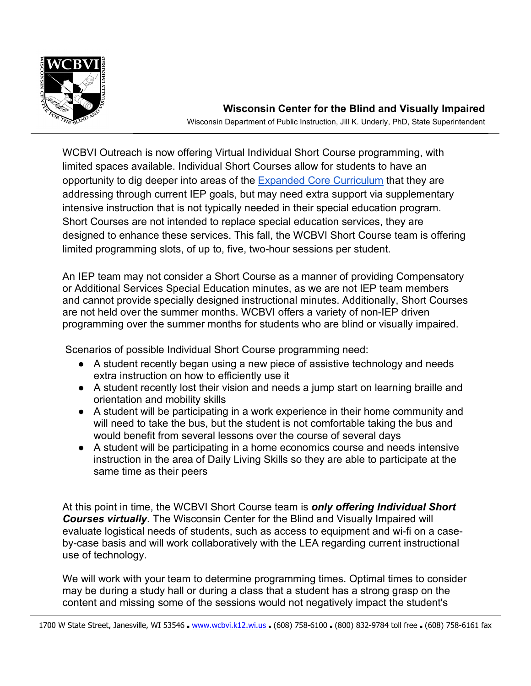

WCBVI Outreach is now offering Virtual Individual Short Course programming, with limited spaces available. Individual Short Courses allow for students to have an opportunity to dig deeper into areas of the **Expanded Core Curriculum** that they are addressing through current IEP goals, but may need extra support via supplementary intensive instruction that is not typically needed in their special education program. Short Courses are not intended to replace special education services, they are designed to enhance these services. This fall, the WCBVI Short Course team is offering limited programming slots, of up to, five, two-hour sessions per student.

An IEP team may not consider a Short Course as a manner of providing Compensatory or Additional Services Special Education minutes, as we are not IEP team members and cannot provide specially designed instructional minutes. Additionally, Short Courses are not held over the summer months. WCBVI offers a variety of non-IEP driven programming over the summer months for students who are blind or visually impaired.

Scenarios of possible Individual Short Course programming need:

- A student recently began using a new piece of assistive technology and needs extra instruction on how to efficiently use it
- A student recently lost their vision and needs a jump start on learning braille and orientation and mobility skills
- A student will be participating in a work experience in their home community and will need to take the bus, but the student is not comfortable taking the bus and would benefit from several lessons over the course of several days
- A student will be participating in a home economics course and needs intensive instruction in the area of Daily Living Skills so they are able to participate at the same time as their peers

At this point in time, the WCBVI Short Course team is *only offering Individual Short Courses virtually*. The Wisconsin Center for the Blind and Visually Impaired will evaluate logistical needs of students, such as access to equipment and wi-fi on a caseby-case basis and will work collaboratively with the LEA regarding current instructional use of technology.

We will work with your team to determine programming times. Optimal times to consider may be during a study hall or during a class that a student has a strong grasp on the content and missing some of the sessions would not negatively impact the student's